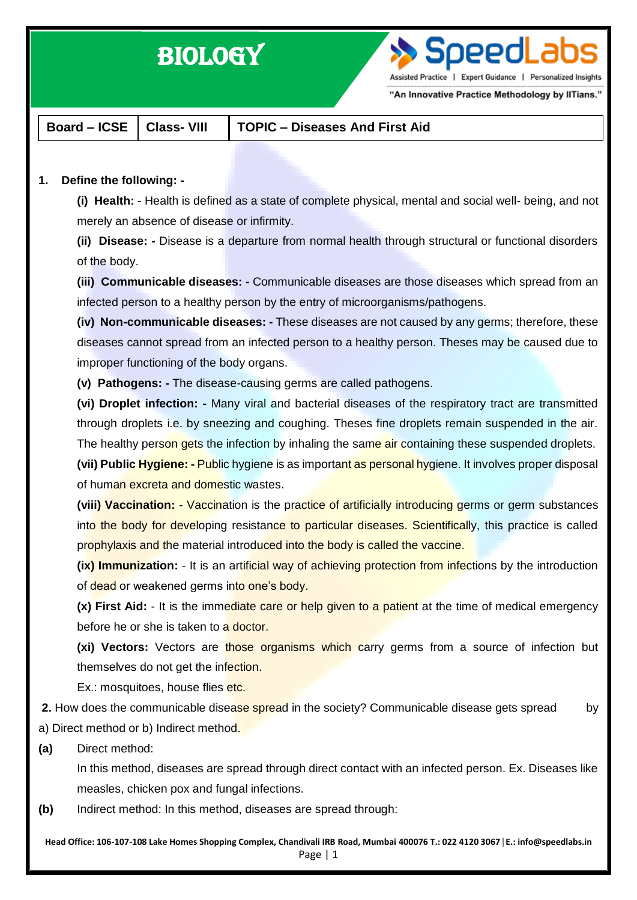# BIOLOGY

Speedl

Assisted Practice | Expert Guidance | Personalized Insights

"An Innovative Practice Methodology by IITians."

**Board – ICSE Class- VIII TOPIC – Diseases And First Aid**

## **1. Define the following: -**

**(i) Health:** - Health is defined as a state of complete physical, mental and social well- being, and not merely an absence of disease or infirmity.

**(ii) Disease: -** Disease is a departure from normal health through structural or functional disorders of the body.

**(iii) Communicable diseases: -** Communicable diseases are those diseases which spread from an infected person to a healthy person by the entry of microorganisms/pathogens.

**(iv) Non-communicable diseases: -** These diseases are not caused by any germs; therefore, these diseases cannot spread from an infected person to a healthy person. Theses may be caused due to improper functioning of the body organs.

**(v) Pathogens: -** The disease-causing germs are called pathogens.

**(vi) Droplet infection: -** Many viral and bacterial diseases of the respiratory tract are transmitted through droplets i.e. by sneezing and coughing. Theses fine droplets remain suspended in the air. The healthy person gets the infection by inhaling the same air containing these suspended droplets. **(vii) Public Hygiene: -** Public hygiene is as important as personal hygiene. It involves proper disposal of human excreta and domestic wastes.

**(viii) Vaccination:** - Vaccination is the practice of artificially introducing germs or germ substances into the body for developing resistance to particular diseases. Scientifically, this practice is called prophylaxis and the material introduced into the body is called the vaccine.

**(ix) Immunization:** - It is an artificial way of achieving protection from infections by the introduction of dead or weakened germs into one's body.

**(x) First Aid:** - It is the immediate care or help given to a patient at the time of medical emergency before he or she is taken to a doctor.

**(xi) Vectors:** Vectors are those organisms which carry germs from a source of infection but themselves do not get the infection.

Ex.: mosquitoes, house flies etc.

**2.** How does the communicable disease spread in the society? Communicable disease gets spread by a) Direct method or b) Indirect method.

**(a)** Direct method:

In this method, diseases are spread through direct contact with an infected person. Ex. Diseases like measles, chicken pox and fungal infections.

**(b)** Indirect method: In this method, diseases are spread through:

**Head Office: 106-107-108 Lake Homes Shopping Complex, Chandivali IRB Road, Mumbai 400076 T.: 022 4120 3067**│**E.: info@speedlabs.in** Page | 1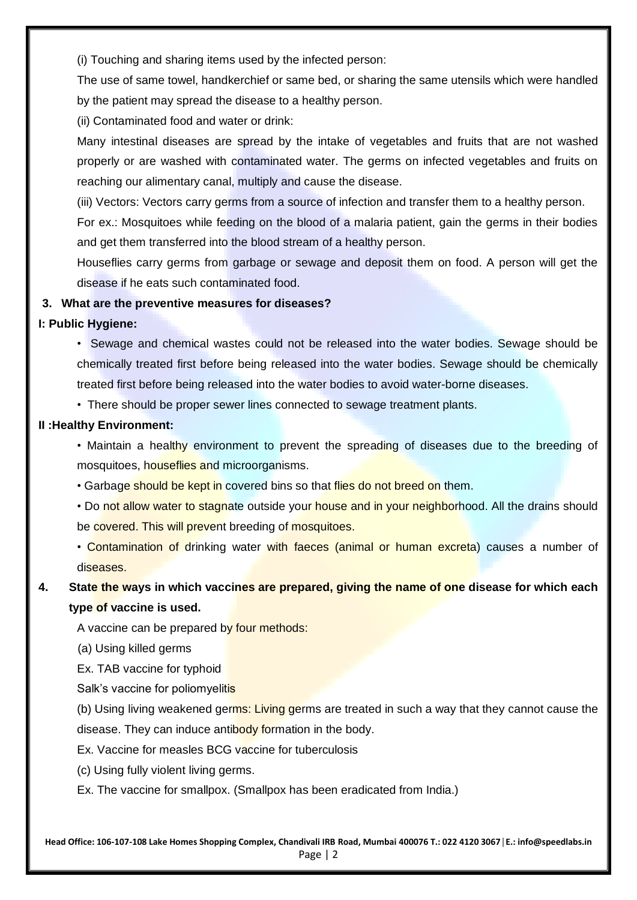(i) Touching and sharing items used by the infected person:

The use of same towel, handkerchief or same bed, or sharing the same utensils which were handled by the patient may spread the disease to a healthy person.

(ii) Contaminated food and water or drink:

Many intestinal diseases are spread by the intake of vegetables and fruits that are not washed properly or are washed with contaminated water. The germs on infected vegetables and fruits on reaching our alimentary canal, multiply and cause the disease.

(iii) Vectors: Vectors carry germs from a source of infection and transfer them to a healthy person.

For ex.: Mosquitoes while feeding on the blood of a malaria patient, gain the germs in their bodies and get them transferred into the blood stream of a healthy person.

Houseflies carry germs from garbage or sewage and deposit them on food. A person will get the disease if he eats such contaminated food.

## **3. What are the preventive measures for diseases?**

**I: Public Hygiene:**

• Sewage and chemical wastes could not be released into the water bodies. Sewage should be chemically treated first before being released into the water bodies. Sewage should be chemically treated first before being released into the water bodies to avoid water-borne diseases.

• There should be proper sewer lines connected to sewage treatment plants.

#### **II :Healthy Environment:**

• Maintain a healthy environment to prevent the spreading of diseases due to the breeding of mosquitoes, houseflies and microorganisms.

• Garbage should be kept in covered bins so that flies do not breed on them.

• Do not allow water to stagnate outside your house and in your neighborhood. All the drains should be covered. This will prevent breeding of mosquitoes.

• Contamination of drinking water with faeces (animal or human excreta) causes a number of diseases.

## **4. State the ways in which vaccines are prepared, giving the name of one disease for which each type of vaccine is used.**

A vaccine can be prepared by four methods:

(a) Using killed germs

Ex. TAB vaccine for typhoid

Salk's vaccine for poliomyelitis

(b) Using living weakened germs: Living germs are treated in such a way that they cannot cause the disease. They can induce antibody formation in the body.

Ex. Vaccine for measles BCG vaccine for tuberculosis

(c) Using fully violent living germs.

Ex. The vaccine for smallpox. (Smallpox has been eradicated from India.)

**Head Office: 106-107-108 Lake Homes Shopping Complex, Chandivali IRB Road, Mumbai 400076 T.: 022 4120 3067**│**E.: info@speedlabs.in** Page | 2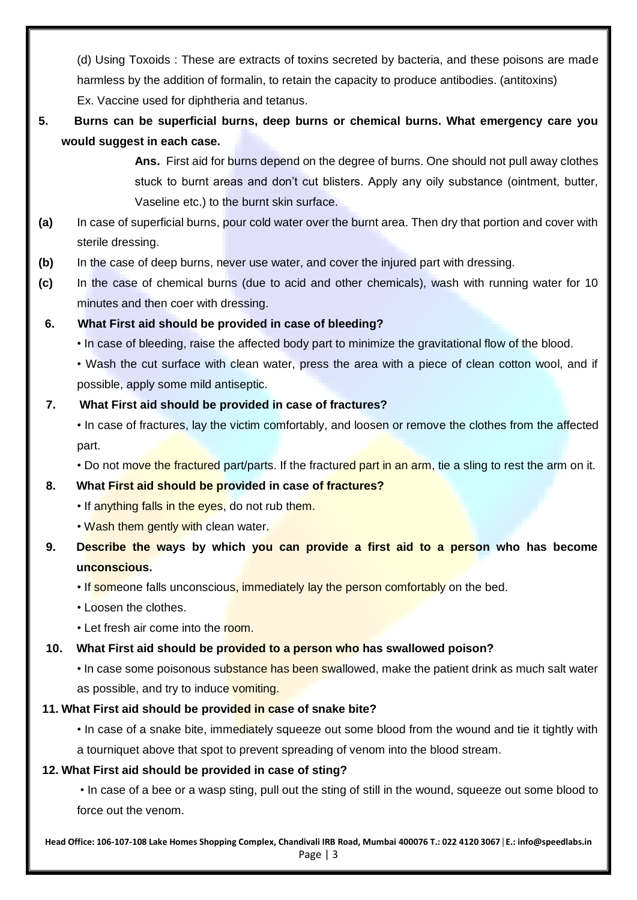(d) Using Toxoids : These are extracts of toxins secreted by bacteria, and these poisons are made harmless by the addition of formalin, to retain the capacity to produce antibodies. (antitoxins) Ex. Vaccine used for diphtheria and tetanus.

**5. Burns can be superficial burns, deep burns or chemical burns. What emergency care you would suggest in each case.**

> **Ans.** First aid for burns depend on the degree of burns. One should not pull away clothes stuck to burnt areas and don't cut blisters. Apply any oily substance (ointment, butter, Vaseline etc.) to the burnt skin surface.

- **(a)** In case of superficial burns, pour cold water over the burnt area. Then dry that portion and cover with sterile dressing.
- **(b)** In the case of deep burns, never use water, and cover the injured part with dressing.
- **(c)** In the case of chemical burns (due to acid and other chemicals), wash with running water for 10 minutes and then coer with dressing.

## **6. What First aid should be provided in case of bleeding?**

• In case of bleeding, raise the affected body part to minimize the gravitational flow of the blood.

• Wash the cut surface with clean water, press the area with a piece of clean cotton wool, and if possible, apply some mild antiseptic.

## **7. What First aid should be provided in case of fractures?**

• In case of fractures, lay the victim comfortably, and loosen or remove the clothes from the affected part.

• Do not move the fractured part/parts. If the fractured part in an arm, tie a sling to rest the arm on it.

## **8. What First aid should be provided in case of fractures?**

- If anything falls in the eyes, do not rub them.
- Wash them gently with clean water.
- **9. Describe the ways by which you can provide a first aid to a person who has become unconscious.**

• If someone falls unconscious, immediately lay the person comfortably on the bed.

- Loosen the clothes.
- Let fresh air come into the room.

## **10. What First aid should be provided to a person who has swallowed poison?**

• In case some poisonous substance has been swallowed, make the patient drink as much salt water as possible, and try to induce vomiting.

#### **11. What First aid should be provided in case of snake bite?**

• In case of a snake bite, immediately squeeze out some blood from the wound and tie it tightly with a tourniquet above that spot to prevent spreading of venom into the blood stream.

## **12. What First aid should be provided in case of sting?**

• In case of a bee or a wasp sting, pull out the sting of still in the wound, squeeze out some blood to force out the venom.

**Head Office: 106-107-108 Lake Homes Shopping Complex, Chandivali IRB Road, Mumbai 400076 T.: 022 4120 3067**│**E.: info@speedlabs.in**

Page | 3